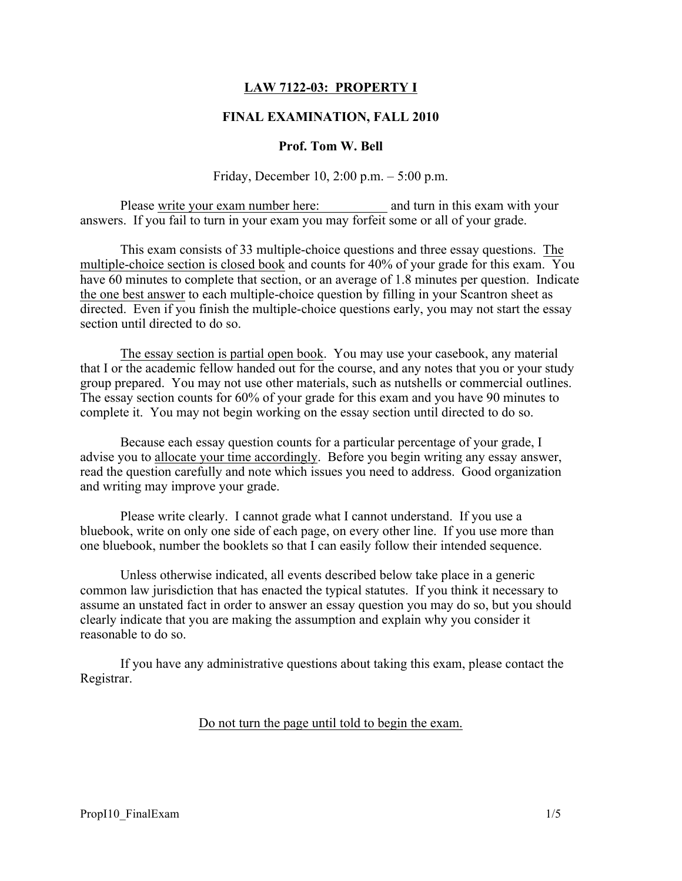# LAW 7122-03: PROPERTY I

### FINAL EXAMINATION, FALL 2010

### Prof. Tom W. Bell

Friday, December 10, 2:00 p.m. – 5:00 p.m.

Please write your exam number here: and turn in this exam with your answers. If you fail to turn in your exam you may forfeit some or all of your grade.

This exam consists of 33 multiple-choice questions and three essay questions. The multiple-choice section is closed book and counts for 40% of your grade for this exam. You have 60 minutes to complete that section, or an average of 1.8 minutes per question. Indicate the one best answer to each multiple-choice question by filling in your Scantron sheet as directed. Even if you finish the multiple-choice questions early, you may not start the essay section until directed to do so.

The essay section is partial open book. You may use your casebook, any material that I or the academic fellow handed out for the course, and any notes that you or your study group prepared. You may not use other materials, such as nutshells or commercial outlines. The essay section counts for 60% of your grade for this exam and you have 90 minutes to complete it. You may not begin working on the essay section until directed to do so.

Because each essay question counts for a particular percentage of your grade, I advise you to allocate your time accordingly. Before you begin writing any essay answer, read the question carefully and note which issues you need to address. Good organization and writing may improve your grade.

Please write clearly. I cannot grade what I cannot understand. If you use a bluebook, write on only one side of each page, on every other line. If you use more than one bluebook, number the booklets so that I can easily follow their intended sequence.

Unless otherwise indicated, all events described below take place in a generic common law jurisdiction that has enacted the typical statutes. If you think it necessary to assume an unstated fact in order to answer an essay question you may do so, but you should clearly indicate that you are making the assumption and explain why you consider it reasonable to do so.

If you have any administrative questions about taking this exam, please contact the Registrar.

#### Do not turn the page until told to begin the exam.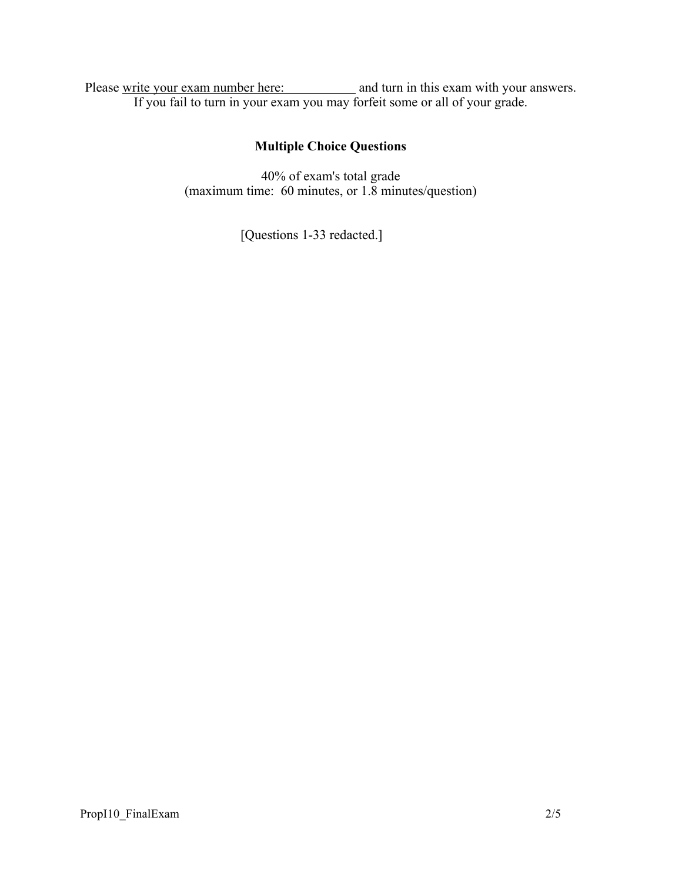Please write your exam number here: and turn in this exam with your answers. If you fail to turn in your exam you may forfeit some or all of your grade.

# Multiple Choice Questions

40% of exam's total grade (maximum time: 60 minutes, or 1.8 minutes/question)

[Questions 1-33 redacted.]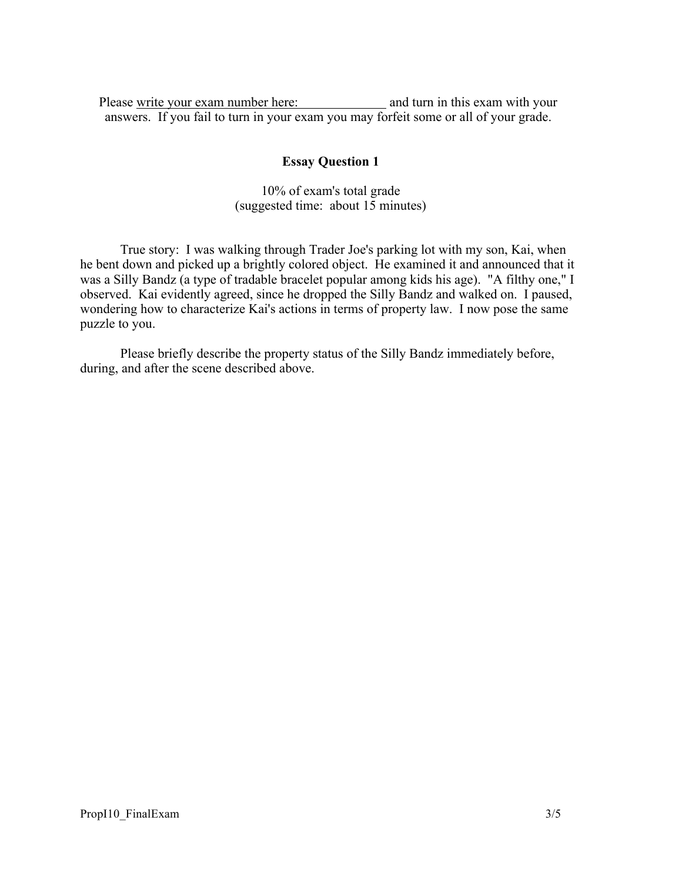Please write your exam number here: and turn in this exam with your answers. If you fail to turn in your exam you may forfeit some or all of your grade.

## Essay Question 1

10% of exam's total grade (suggested time: about 15 minutes)

True story: I was walking through Trader Joe's parking lot with my son, Kai, when he bent down and picked up a brightly colored object. He examined it and announced that it was a Silly Bandz (a type of tradable bracelet popular among kids his age). "A filthy one," I observed. Kai evidently agreed, since he dropped the Silly Bandz and walked on. I paused, wondering how to characterize Kai's actions in terms of property law. I now pose the same puzzle to you.

Please briefly describe the property status of the Silly Bandz immediately before, during, and after the scene described above.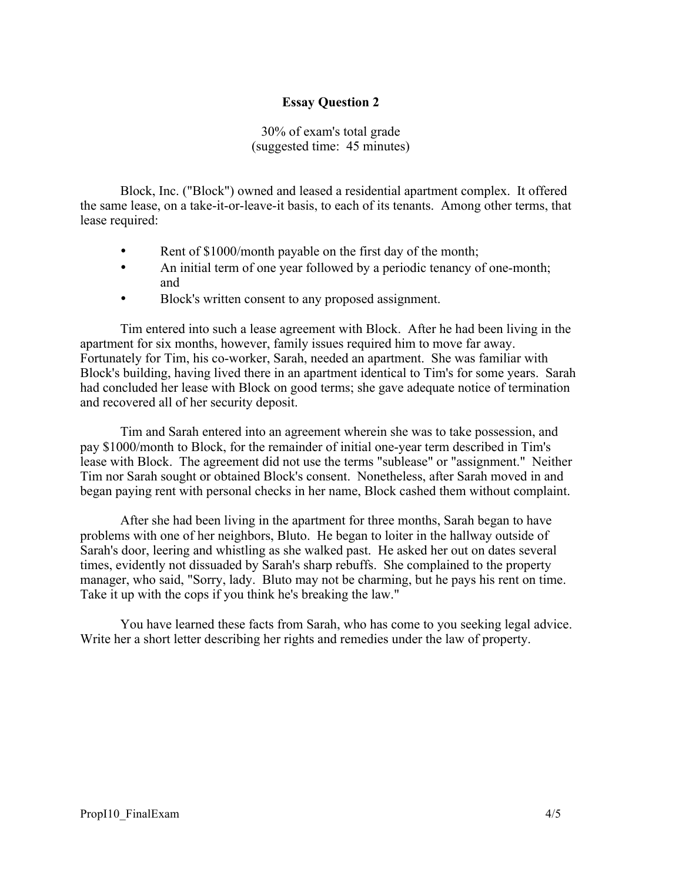# Essay Question 2

30% of exam's total grade (suggested time: 45 minutes)

Block, Inc. ("Block") owned and leased a residential apartment complex. It offered the same lease, on a take-it-or-leave-it basis, to each of its tenants. Among other terms, that lease required:

- Rent of \$1000/month payable on the first day of the month;
- An initial term of one year followed by a periodic tenancy of one-month; and
- Block's written consent to any proposed assignment.

Tim entered into such a lease agreement with Block. After he had been living in the apartment for six months, however, family issues required him to move far away. Fortunately for Tim, his co-worker, Sarah, needed an apartment. She was familiar with Block's building, having lived there in an apartment identical to Tim's for some years. Sarah had concluded her lease with Block on good terms; she gave adequate notice of termination and recovered all of her security deposit.

Tim and Sarah entered into an agreement wherein she was to take possession, and pay \$1000/month to Block, for the remainder of initial one-year term described in Tim's lease with Block. The agreement did not use the terms "sublease" or "assignment." Neither Tim nor Sarah sought or obtained Block's consent. Nonetheless, after Sarah moved in and began paying rent with personal checks in her name, Block cashed them without complaint.

After she had been living in the apartment for three months, Sarah began to have problems with one of her neighbors, Bluto. He began to loiter in the hallway outside of Sarah's door, leering and whistling as she walked past. He asked her out on dates several times, evidently not dissuaded by Sarah's sharp rebuffs. She complained to the property manager, who said, "Sorry, lady. Bluto may not be charming, but he pays his rent on time. Take it up with the cops if you think he's breaking the law."

You have learned these facts from Sarah, who has come to you seeking legal advice. Write her a short letter describing her rights and remedies under the law of property.